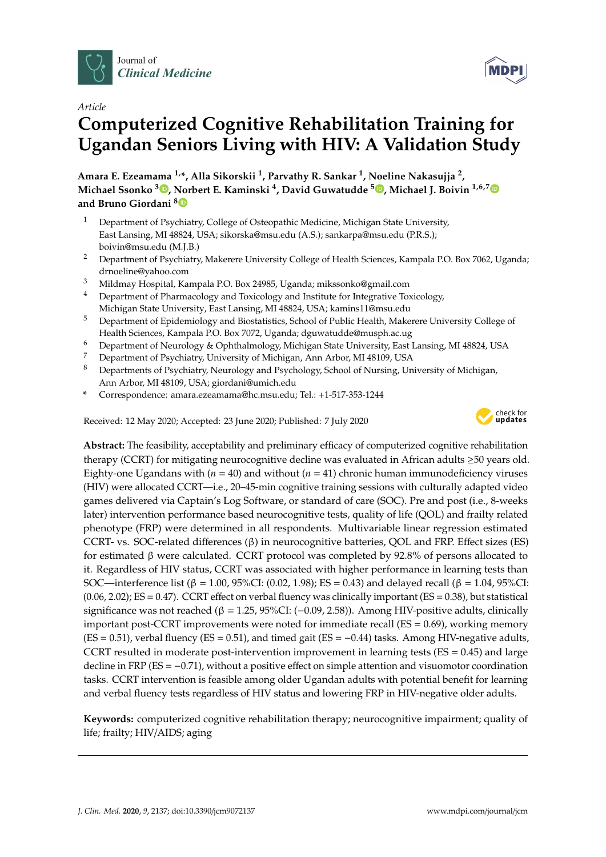



# **Computerized Cognitive Rehabilitation Training for Ugandan Seniors Living with HIV: A Validation Study**

**Amara E. Ezeamama 1,\*, Alla Sikorskii <sup>1</sup> , Parvathy R. Sankar <sup>1</sup> , Noeline Nakasujja <sup>2</sup> , Michael Ssonko <sup>3</sup> [,](https://orcid.org/0000-0003-0585-3902) Norbert E. Kaminski <sup>4</sup> , David Guwatudde <sup>5</sup> [,](https://orcid.org/0000-0003-3563-0224) Michael J. Boivin 1,6,[7](https://orcid.org/0000-0002-0097-1777) and Bruno Giordani [8](https://orcid.org/0000-0001-5921-3455)**

- <sup>1</sup> Department of Psychiatry, College of Osteopathic Medicine, Michigan State University, East Lansing, MI 48824, USA; sikorska@msu.edu (A.S.); sankarpa@msu.edu (P.R.S.); boivin@msu.edu (M.J.B.)
- <sup>2</sup> Department of Psychiatry, Makerere University College of Health Sciences, Kampala P.O. Box 7062, Uganda; drnoeline@yahoo.com
- <sup>3</sup> Mildmay Hospital, Kampala P.O. Box 24985, Uganda; mikssonko@gmail.com
- <sup>4</sup> Department of Pharmacology and Toxicology and Institute for Integrative Toxicology, Michigan State University, East Lansing, MI 48824, USA; kamins11@msu.edu
- <sup>5</sup> Department of Epidemiology and Biostatistics, School of Public Health, Makerere University College of Health Sciences, Kampala P.O. Box 7072, Uganda; dguwatudde@musph.ac.ug
- <sup>6</sup> Department of Neurology & Ophthalmology, Michigan State University, East Lansing, MI 48824, USA
- <sup>7</sup> Department of Psychiatry, University of Michigan, Ann Arbor, MI 48109, USA
- <sup>8</sup> Departments of Psychiatry, Neurology and Psychology, School of Nursing, University of Michigan, Ann Arbor, MI 48109, USA; giordani@umich.edu
- **\*** Correspondence: amara.ezeamama@hc.msu.edu; Tel.: +1-517-353-1244

Received: 12 May 2020; Accepted: 23 June 2020; Published: 7 July 2020



**MDPI** 

**Abstract:** The feasibility, acceptability and preliminary efficacy of computerized cognitive rehabilitation therapy (CCRT) for mitigating neurocognitive decline was evaluated in African adults ≥50 years old. Eighty-one Ugandans with  $(n = 40)$  and without  $(n = 41)$  chronic human immunodeficiency viruses (HIV) were allocated CCRT—i.e., 20–45-min cognitive training sessions with culturally adapted video games delivered via Captain's Log Software, or standard of care (SOC). Pre and post (i.e., 8-weeks later) intervention performance based neurocognitive tests, quality of life (QOL) and frailty related phenotype (FRP) were determined in all respondents. Multivariable linear regression estimated CCRT- vs. SOC-related differences (β) in neurocognitive batteries, QOL and FRP. Effect sizes (ES) for estimated β were calculated. CCRT protocol was completed by 92.8% of persons allocated to it. Regardless of HIV status, CCRT was associated with higher performance in learning tests than SOC—interference list (β = 1.00, 95%CI: (0.02, 1.98); ES = 0.43) and delayed recall (β = 1.04, 95%CI:  $(0.06, 2.02)$ ; ES = 0.47). CCRT effect on verbal fluency was clinically important (ES = 0.38), but statistical significance was not reached (β = 1.25, 95%CI: (−0.09, 2.58)). Among HIV-positive adults, clinically important post-CCRT improvements were noted for immediate recall (ES = 0.69), working memory  $(ES = 0.51)$ , verbal fluency  $(ES = 0.51)$ , and timed gait  $(ES = -0.44)$  tasks. Among HIV-negative adults, CCRT resulted in moderate post-intervention improvement in learning tests ( $ES = 0.45$ ) and large decline in FRP (ES = −0.71), without a positive effect on simple attention and visuomotor coordination tasks. CCRT intervention is feasible among older Ugandan adults with potential benefit for learning and verbal fluency tests regardless of HIV status and lowering FRP in HIV-negative older adults.

**Keywords:** computerized cognitive rehabilitation therapy; neurocognitive impairment; quality of life; frailty; HIV/AIDS; aging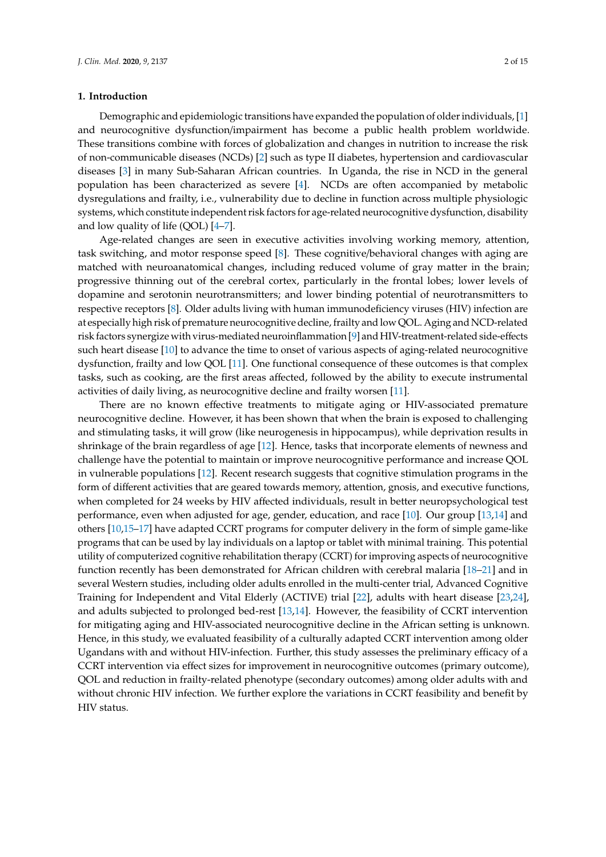# **1. Introduction**

Demographic and epidemiologic transitions have expanded the population of older individuals, [\[1\]](#page-12-0) and neurocognitive dysfunction/impairment has become a public health problem worldwide. These transitions combine with forces of globalization and changes in nutrition to increase the risk of non-communicable diseases (NCDs) [\[2\]](#page-12-1) such as type II diabetes, hypertension and cardiovascular diseases [\[3\]](#page-12-2) in many Sub-Saharan African countries. In Uganda, the rise in NCD in the general population has been characterized as severe [\[4\]](#page-12-3). NCDs are often accompanied by metabolic dysregulations and frailty, i.e., vulnerability due to decline in function across multiple physiologic systems, which constitute independent risk factors for age-related neurocognitive dysfunction, disability and low quality of life  $(QOL)$   $[4–7]$  $[4–7]$ .

Age-related changes are seen in executive activities involving working memory, attention, task switching, and motor response speed [\[8\]](#page-12-5). These cognitive/behavioral changes with aging are matched with neuroanatomical changes, including reduced volume of gray matter in the brain; progressive thinning out of the cerebral cortex, particularly in the frontal lobes; lower levels of dopamine and serotonin neurotransmitters; and lower binding potential of neurotransmitters to respective receptors [\[8\]](#page-12-5). Older adults living with human immunodeficiency viruses (HIV) infection are at especially high risk of premature neurocognitive decline, frailty and low QOL. Aging and NCD-related risk factors synergize with virus-mediated neuroinflammation [\[9\]](#page-12-6) and HIV-treatment-related side-effects such heart disease [\[10\]](#page-12-7) to advance the time to onset of various aspects of aging-related neurocognitive dysfunction, frailty and low QOL [\[11\]](#page-12-8). One functional consequence of these outcomes is that complex tasks, such as cooking, are the first areas affected, followed by the ability to execute instrumental activities of daily living, as neurocognitive decline and frailty worsen [\[11\]](#page-12-8).

There are no known effective treatments to mitigate aging or HIV-associated premature neurocognitive decline. However, it has been shown that when the brain is exposed to challenging and stimulating tasks, it will grow (like neurogenesis in hippocampus), while deprivation results in shrinkage of the brain regardless of age [\[12\]](#page-12-9). Hence, tasks that incorporate elements of newness and challenge have the potential to maintain or improve neurocognitive performance and increase QOL in vulnerable populations [\[12\]](#page-12-9). Recent research suggests that cognitive stimulation programs in the form of different activities that are geared towards memory, attention, gnosis, and executive functions, when completed for 24 weeks by HIV affected individuals, result in better neuropsychological test performance, even when adjusted for age, gender, education, and race [\[10\]](#page-12-7). Our group [\[13](#page-12-10)[,14\]](#page-12-11) and others [\[10,](#page-12-7)[15](#page-12-12)[–17\]](#page-12-13) have adapted CCRT programs for computer delivery in the form of simple game-like programs that can be used by lay individuals on a laptop or tablet with minimal training. This potential utility of computerized cognitive rehabilitation therapy (CCRT) for improving aspects of neurocognitive function recently has been demonstrated for African children with cerebral malaria [\[18–](#page-12-14)[21\]](#page-13-0) and in several Western studies, including older adults enrolled in the multi-center trial, Advanced Cognitive Training for Independent and Vital Elderly (ACTIVE) trial [\[22\]](#page-13-1), adults with heart disease [\[23,](#page-13-2)[24\]](#page-13-3), and adults subjected to prolonged bed-rest [\[13,](#page-12-10)[14\]](#page-12-11). However, the feasibility of CCRT intervention for mitigating aging and HIV-associated neurocognitive decline in the African setting is unknown. Hence, in this study, we evaluated feasibility of a culturally adapted CCRT intervention among older Ugandans with and without HIV-infection. Further, this study assesses the preliminary efficacy of a CCRT intervention via effect sizes for improvement in neurocognitive outcomes (primary outcome), QOL and reduction in frailty-related phenotype (secondary outcomes) among older adults with and without chronic HIV infection. We further explore the variations in CCRT feasibility and benefit by HIV status.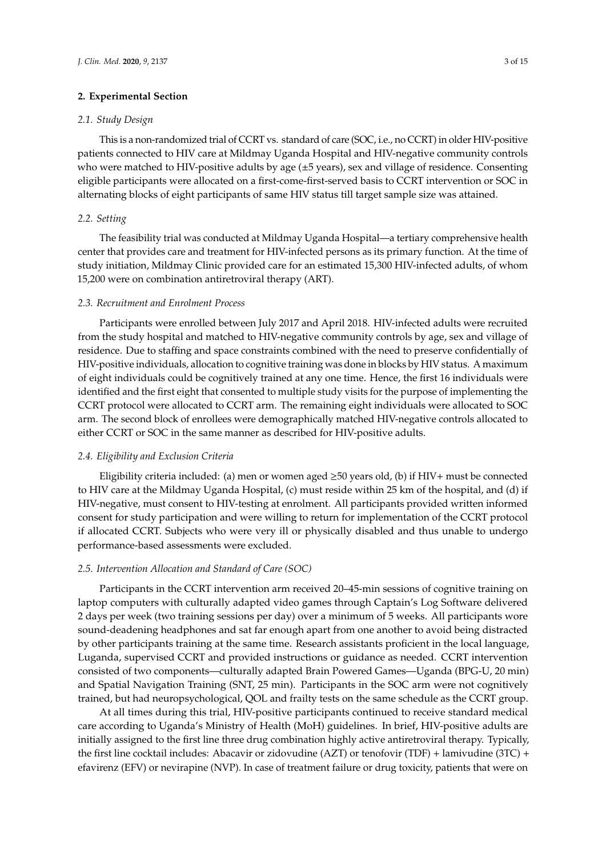# **2. Experimental Section**

# *2.1. Study Design*

This is a non-randomized trial of CCRT vs. standard of care (SOC, i.e., no CCRT) in older HIV-positive patients connected to HIV care at Mildmay Uganda Hospital and HIV-negative community controls who were matched to HIV-positive adults by age  $(\pm 5$  years), sex and village of residence. Consenting eligible participants were allocated on a first-come-first-served basis to CCRT intervention or SOC in alternating blocks of eight participants of same HIV status till target sample size was attained.

# *2.2. Setting*

The feasibility trial was conducted at Mildmay Uganda Hospital—a tertiary comprehensive health center that provides care and treatment for HIV-infected persons as its primary function. At the time of study initiation, Mildmay Clinic provided care for an estimated 15,300 HIV-infected adults, of whom 15,200 were on combination antiretroviral therapy (ART).

#### *2.3. Recruitment and Enrolment Process*

Participants were enrolled between July 2017 and April 2018. HIV-infected adults were recruited from the study hospital and matched to HIV-negative community controls by age, sex and village of residence. Due to staffing and space constraints combined with the need to preserve confidentially of HIV-positive individuals, allocation to cognitive training was done in blocks by HIV status. A maximum of eight individuals could be cognitively trained at any one time. Hence, the first 16 individuals were identified and the first eight that consented to multiple study visits for the purpose of implementing the CCRT protocol were allocated to CCRT arm. The remaining eight individuals were allocated to SOC arm. The second block of enrollees were demographically matched HIV-negative controls allocated to either CCRT or SOC in the same manner as described for HIV-positive adults.

#### *2.4. Eligibility and Exclusion Criteria*

Eligibility criteria included: (a) men or women aged  $\geq$ 50 years old, (b) if HIV+ must be connected to HIV care at the Mildmay Uganda Hospital, (c) must reside within 25 km of the hospital, and (d) if HIV-negative, must consent to HIV-testing at enrolment. All participants provided written informed consent for study participation and were willing to return for implementation of the CCRT protocol if allocated CCRT. Subjects who were very ill or physically disabled and thus unable to undergo performance-based assessments were excluded.

# *2.5. Intervention Allocation and Standard of Care (SOC)*

Participants in the CCRT intervention arm received 20–45-min sessions of cognitive training on laptop computers with culturally adapted video games through Captain's Log Software delivered 2 days per week (two training sessions per day) over a minimum of 5 weeks. All participants wore sound-deadening headphones and sat far enough apart from one another to avoid being distracted by other participants training at the same time. Research assistants proficient in the local language, Luganda, supervised CCRT and provided instructions or guidance as needed. CCRT intervention consisted of two components—culturally adapted Brain Powered Games—Uganda (BPG-U, 20 min) and Spatial Navigation Training (SNT, 25 min). Participants in the SOC arm were not cognitively trained, but had neuropsychological, QOL and frailty tests on the same schedule as the CCRT group.

At all times during this trial, HIV-positive participants continued to receive standard medical care according to Uganda's Ministry of Health (MoH) guidelines. In brief, HIV-positive adults are initially assigned to the first line three drug combination highly active antiretroviral therapy. Typically, the first line cocktail includes: Abacavir or zidovudine (AZT) or tenofovir (TDF) + lamivudine (3TC) + efavirenz (EFV) or nevirapine (NVP). In case of treatment failure or drug toxicity, patients that were on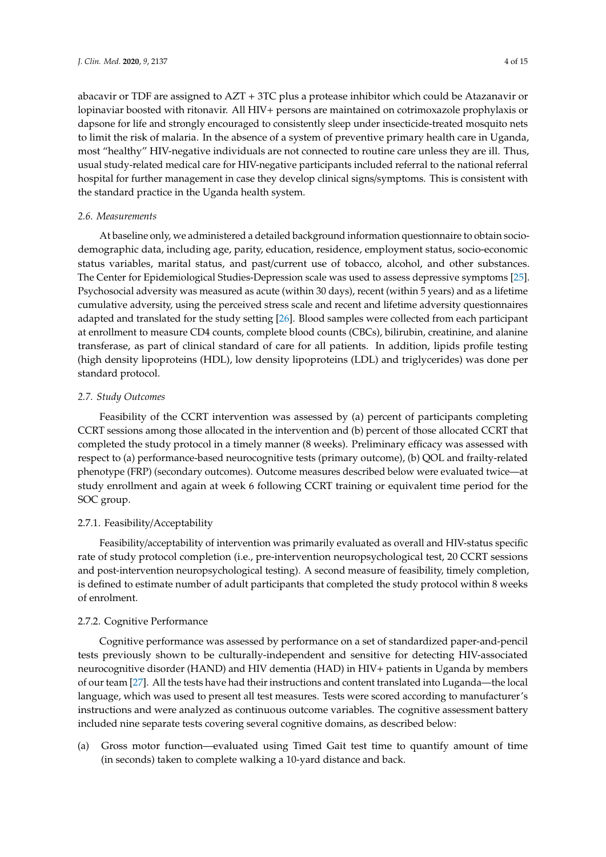abacavir or TDF are assigned to AZT + 3TC plus a protease inhibitor which could be Atazanavir or lopinaviar boosted with ritonavir. All HIV+ persons are maintained on cotrimoxazole prophylaxis or dapsone for life and strongly encouraged to consistently sleep under insecticide-treated mosquito nets to limit the risk of malaria. In the absence of a system of preventive primary health care in Uganda, most "healthy" HIV-negative individuals are not connected to routine care unless they are ill. Thus, usual study-related medical care for HIV-negative participants included referral to the national referral hospital for further management in case they develop clinical signs/symptoms. This is consistent with the standard practice in the Uganda health system.

# *2.6. Measurements*

At baseline only, we administered a detailed background information questionnaire to obtain sociodemographic data, including age, parity, education, residence, employment status, socio-economic status variables, marital status, and past/current use of tobacco, alcohol, and other substances. The Center for Epidemiological Studies-Depression scale was used to assess depressive symptoms [\[25\]](#page-13-4). Psychosocial adversity was measured as acute (within 30 days), recent (within 5 years) and as a lifetime cumulative adversity, using the perceived stress scale and recent and lifetime adversity questionnaires adapted and translated for the study setting [\[26\]](#page-13-5). Blood samples were collected from each participant at enrollment to measure CD4 counts, complete blood counts (CBCs), bilirubin, creatinine, and alanine transferase, as part of clinical standard of care for all patients. In addition, lipids profile testing (high density lipoproteins (HDL), low density lipoproteins (LDL) and triglycerides) was done per standard protocol.

# *2.7. Study Outcomes*

Feasibility of the CCRT intervention was assessed by (a) percent of participants completing CCRT sessions among those allocated in the intervention and (b) percent of those allocated CCRT that completed the study protocol in a timely manner (8 weeks). Preliminary efficacy was assessed with respect to (a) performance-based neurocognitive tests (primary outcome), (b) QOL and frailty-related phenotype (FRP) (secondary outcomes). Outcome measures described below were evaluated twice—at study enrollment and again at week 6 following CCRT training or equivalent time period for the SOC group.

# 2.7.1. Feasibility/Acceptability

Feasibility/acceptability of intervention was primarily evaluated as overall and HIV-status specific rate of study protocol completion (i.e., pre-intervention neuropsychological test, 20 CCRT sessions and post-intervention neuropsychological testing). A second measure of feasibility, timely completion, is defined to estimate number of adult participants that completed the study protocol within 8 weeks of enrolment.

#### 2.7.2. Cognitive Performance

Cognitive performance was assessed by performance on a set of standardized paper-and-pencil tests previously shown to be culturally-independent and sensitive for detecting HIV-associated neurocognitive disorder (HAND) and HIV dementia (HAD) in HIV+ patients in Uganda by members of our team [\[27\]](#page-13-6). All the tests have had their instructions and content translated into Luganda—the local language, which was used to present all test measures. Tests were scored according to manufacturer's instructions and were analyzed as continuous outcome variables. The cognitive assessment battery included nine separate tests covering several cognitive domains, as described below:

(a) Gross motor function—evaluated using Timed Gait test time to quantify amount of time (in seconds) taken to complete walking a 10-yard distance and back.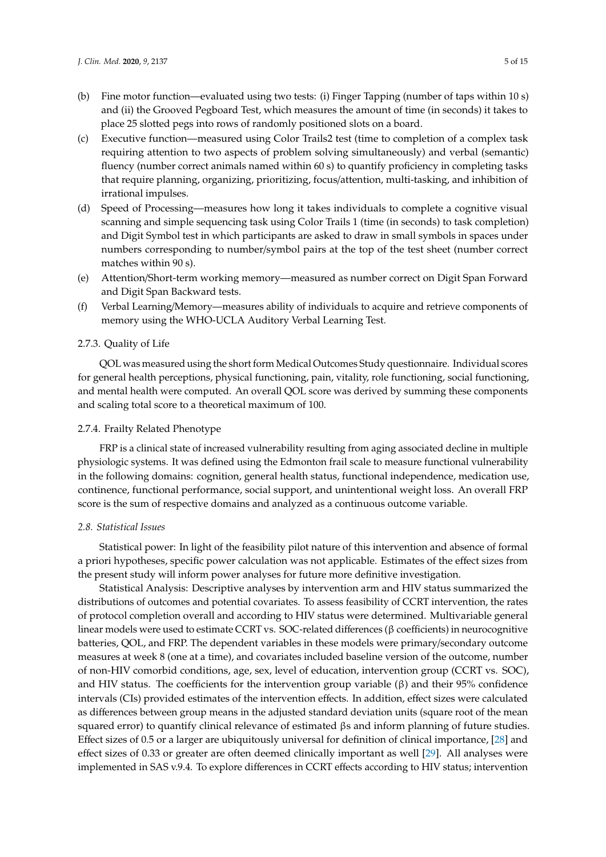- (b) Fine motor function—evaluated using two tests: (i) Finger Tapping (number of taps within 10 s) and (ii) the Grooved Pegboard Test, which measures the amount of time (in seconds) it takes to place 25 slotted pegs into rows of randomly positioned slots on a board.
- (c) Executive function—measured using Color Trails2 test (time to completion of a complex task requiring attention to two aspects of problem solving simultaneously) and verbal (semantic) fluency (number correct animals named within 60 s) to quantify proficiency in completing tasks that require planning, organizing, prioritizing, focus/attention, multi-tasking, and inhibition of irrational impulses.
- (d) Speed of Processing—measures how long it takes individuals to complete a cognitive visual scanning and simple sequencing task using Color Trails 1 (time (in seconds) to task completion) and Digit Symbol test in which participants are asked to draw in small symbols in spaces under numbers corresponding to number/symbol pairs at the top of the test sheet (number correct matches within 90 s).
- (e) Attention/Short-term working memory—measured as number correct on Digit Span Forward and Digit Span Backward tests.
- (f) Verbal Learning/Memory—measures ability of individuals to acquire and retrieve components of memory using the WHO-UCLA Auditory Verbal Learning Test.

#### 2.7.3. Quality of Life

QOL was measured using the short form Medical Outcomes Study questionnaire. Individual scores for general health perceptions, physical functioning, pain, vitality, role functioning, social functioning, and mental health were computed. An overall QOL score was derived by summing these components and scaling total score to a theoretical maximum of 100.

# 2.7.4. Frailty Related Phenotype

FRP is a clinical state of increased vulnerability resulting from aging associated decline in multiple physiologic systems. It was defined using the Edmonton frail scale to measure functional vulnerability in the following domains: cognition, general health status, functional independence, medication use, continence, functional performance, social support, and unintentional weight loss. An overall FRP score is the sum of respective domains and analyzed as a continuous outcome variable.

#### *2.8. Statistical Issues*

Statistical power: In light of the feasibility pilot nature of this intervention and absence of formal a priori hypotheses, specific power calculation was not applicable. Estimates of the effect sizes from the present study will inform power analyses for future more definitive investigation.

Statistical Analysis: Descriptive analyses by intervention arm and HIV status summarized the distributions of outcomes and potential covariates. To assess feasibility of CCRT intervention, the rates of protocol completion overall and according to HIV status were determined. Multivariable general linear models were used to estimate CCRT vs. SOC-related differences (β coefficients) in neurocognitive batteries, QOL, and FRP. The dependent variables in these models were primary/secondary outcome measures at week 8 (one at a time), and covariates included baseline version of the outcome, number of non-HIV comorbid conditions, age, sex, level of education, intervention group (CCRT vs. SOC), and HIV status. The coefficients for the intervention group variable  $(β)$  and their 95% confidence intervals (CIs) provided estimates of the intervention effects. In addition, effect sizes were calculated as differences between group means in the adjusted standard deviation units (square root of the mean squared error) to quantify clinical relevance of estimated βs and inform planning of future studies. Effect sizes of 0.5 or a larger are ubiquitously universal for definition of clinical importance, [\[28\]](#page-13-7) and effect sizes of 0.33 or greater are often deemed clinically important as well [\[29\]](#page-13-8). All analyses were implemented in SAS v.9.4. To explore differences in CCRT effects according to HIV status; intervention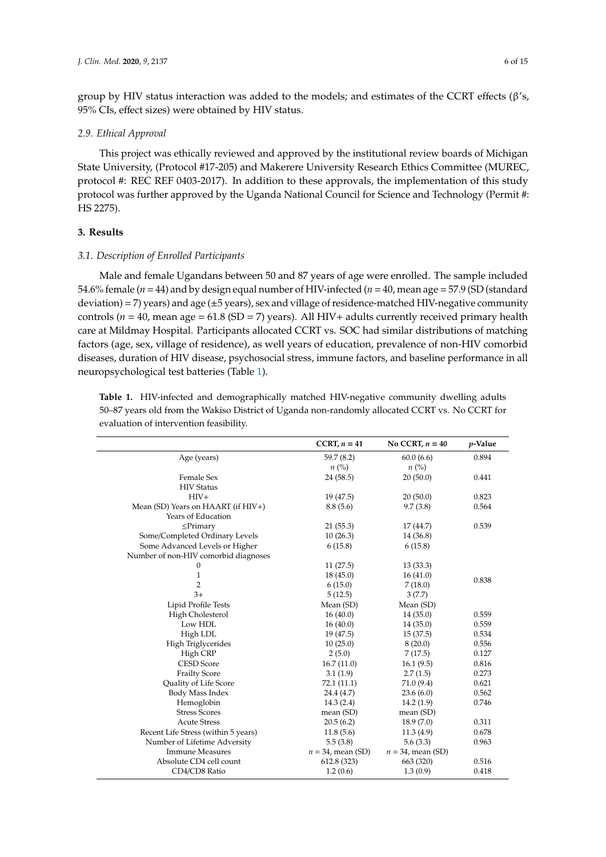group by HIV status interaction was added to the models; and estimates of the CCRT effects (β's, 95% CIs, effect sizes) were obtained by HIV status.

## *2.9. Ethical Approval*

This project was ethically reviewed and approved by the institutional review boards of Michigan State University, (Protocol #17-205) and Makerere University Research Ethics Committee (MUREC, protocol #: REC REF 0403-2017). In addition to these approvals, the implementation of this study protocol was further approved by the Uganda National Council for Science and Technology (Permit #: HS 2275).

# **3. Results**

#### *3.1. Description of Enrolled Participants*

Male and female Ugandans between 50 and 87 years of age were enrolled. The sample included 54.6% female (*n* = 44) and by design equal number of HIV-infected (*n* = 40, mean age = 57.9 (SD (standard deviation) = 7) years) and age (±5 years), sex and village of residence-matched HIV-negative community controls ( $n = 40$ , mean age = 61.8 (SD = 7) years). All HIV+ adults currently received primary health care at Mildmay Hospital. Participants allocated CCRT vs. SOC had similar distributions of matching factors (age, sex, village of residence), as well years of education, prevalence of non-HIV comorbid diseases, duration of HIV disease, psychosocial stress, immune factors, and baseline performance in all neuropsychological test batteries (Table [1\)](#page-6-0).

**Table 1.** HIV-infected and demographically matched HIV-negative community dwelling adults 50–87 years old from the Wakiso District of Uganda non-randomly allocated CCRT vs. No CCRT for evaluation of intervention feasibility.

|                                       | CCRT, $n = 41$       | No CCRT, $n = 40$    | $p$ -Value |
|---------------------------------------|----------------------|----------------------|------------|
| Age (years)                           | 59.7 (8.2)           | 60.0(6.6)            | 0.894      |
|                                       | $n\left(\%\right)$   | $n\ (\%)$            |            |
| Female Sex                            | 24(58.5)             | 20(50.0)             | 0.441      |
| <b>HIV</b> Status                     |                      |                      |            |
| $HIV+$                                | 19 (47.5)            | 20(50.0)             | 0.823      |
| Mean (SD) Years on HAART (if $HIV+$ ) | 8.8(5.6)             | 9.7(3.8)             | 0.564      |
| Years of Education                    |                      |                      |            |
| $\leq$ Primary                        | 21(55.3)             | 17(44.7)             | 0.539      |
| Some/Completed Ordinary Levels        | 10(26.3)             | 14 (36.8)            |            |
| Some Advanced Levels or Higher        | 6(15.8)              | 6(15.8)              |            |
| Number of non-HIV comorbid diagnoses  |                      |                      |            |
| $\mathbf{0}$                          | 11(27.5)             | 13(33.3)             |            |
| $\mathbf{1}$                          | 18(45.0)             | 16(41.0)             | 0.838      |
| $\overline{2}$                        | 6(15.0)              | 7(18.0)              |            |
| $3+$                                  | 5(12.5)              | 3(7.7)               |            |
| Lipid Profile Tests                   | Mean (SD)            | Mean (SD)            |            |
| High Cholesterol                      | 16(40.0)             | 14(35.0)             | 0.559      |
| Low HDL                               | 16(40.0)             | 14(35.0)             | 0.559      |
| High LDL                              | 19 (47.5)            | 15(37.5)             | 0.534      |
| High Triglycerides                    | 10(25.0)             | 8(20.0)              | 0.556      |
| High CRP                              | 2(5.0)               | 7(17.5)              | 0.127      |
| <b>CESD Score</b>                     | 16.7(11.0)           | 16.1(9.5)            | 0.816      |
| <b>Frailty Score</b>                  | 3.1(1.9)             | 2.7(1.5)             | 0.273      |
| Quality of Life Score                 | 72.1 (11.1)          | 71.0 (9.4)           | 0.621      |
| Body Mass Index                       | 24.4 (4.7)           | 23.6(6.0)            | 0.562      |
| Hemoglobin                            | 14.3(2.4)            | 14.2(1.9)            | 0.746      |
| <b>Stress Scores</b>                  | mean (SD)            | mean (SD)            |            |
| <b>Acute Stress</b>                   | 20.5(6.2)            | 18.9(7.0)            | 0.311      |
| Recent Life Stress (within 5 years)   | 11.8(5.6)            | 11.3(4.9)            | 0.678      |
| Number of Lifetime Adversity          | 5.5(3.8)             | 5.6(3.3)             | 0.963      |
| <b>Immune Measures</b>                | $n = 34$ , mean (SD) | $n = 34$ , mean (SD) |            |
| Absolute CD4 cell count               | 612.8 (323)          | 663 (320)            | 0.516      |
| CD4/CD8 Ratio                         | 1.2(0.6)             | 1.3(0.9)             | 0.418      |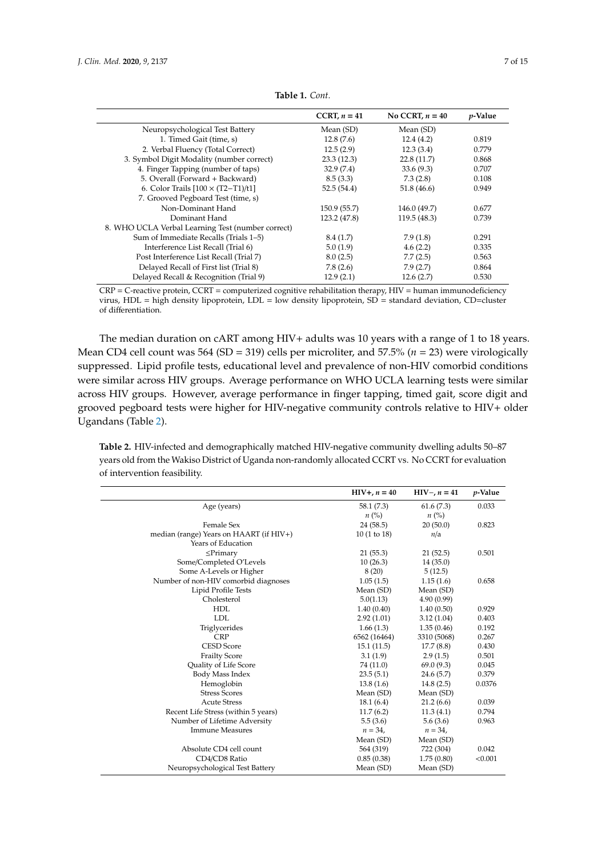<span id="page-6-0"></span>

|                                                   | CCRT, $n = 41$ | No CCRT, $n = 40$ | $p$ -Value |
|---------------------------------------------------|----------------|-------------------|------------|
| Neuropsychological Test Battery                   | Mean (SD)      | Mean (SD)         |            |
| 1. Timed Gait (time, s)                           | 12.8(7.6)      | 12.4(4.2)         | 0.819      |
| 2. Verbal Fluency (Total Correct)                 | 12.5(2.9)      | 12.3(3.4)         | 0.779      |
| 3. Symbol Digit Modality (number correct)         | 23.3(12.3)     | 22.8(11.7)        | 0.868      |
| 4. Finger Tapping (number of taps)                | 32.9(7.4)      | 33.6(9.3)         | 0.707      |
| 5. Overall (Forward + Backward)                   | 8.5(3.3)       | 7.3(2.8)          | 0.108      |
| 6. Color Trails $[100 \times (T2-T1)/t1]$         | 52.5(54.4)     | 51.8(46.6)        | 0.949      |
| 7. Grooved Pegboard Test (time, s)                |                |                   |            |
| Non-Dominant Hand                                 | 150.9(55.7)    | 146.0 (49.7)      | 0.677      |
| Dominant Hand                                     | 123.2 (47.8)   | 119.5(48.3)       | 0.739      |
| 8. WHO UCLA Verbal Learning Test (number correct) |                |                   |            |
| Sum of Immediate Recalls (Trials 1–5)             | 8.4(1.7)       | 7.9(1.8)          | 0.291      |
| Interference List Recall (Trial 6)                | 5.0(1.9)       | 4.6(2.2)          | 0.335      |
| Post Interference List Recall (Trial 7)           | 8.0(2.5)       | 7.7(2.5)          | 0.563      |
| Delayed Recall of First list (Trial 8)            | 7.8(2.6)       | 7.9(2.7)          | 0.864      |
| Delayed Recall & Recognition (Trial 9)            | 12.9(2.1)      | 12.6(2.7)         | 0.530      |

**Table 1.** *Cont.*

CRP = C-reactive protein, CCRT = computerized cognitive rehabilitation therapy, HIV = human immunodeficiency virus, HDL = high density lipoprotein, LDL = low density lipoprotein, SD = standard deviation, CD=cluster of differentiation.

The median duration on cART among HIV+ adults was 10 years with a range of 1 to 18 years. Mean CD4 cell count was 564 (SD = 319) cells per microliter, and 57.5% (*n* = 23) were virologically suppressed. Lipid profile tests, educational level and prevalence of non-HIV comorbid conditions were similar across HIV groups. Average performance on WHO UCLA learning tests were similar across HIV groups. However, average performance in finger tapping, timed gait, score digit and grooved pegboard tests were higher for HIV-negative community controls relative to HIV+ older Ugandans (Table [2\)](#page-7-0).

**Table 2.** HIV-infected and demographically matched HIV-negative community dwelling adults 50–87 years old from the Wakiso District of Uganda non-randomly allocated CCRT vs. No CCRT for evaluation of intervention feasibility.

|                                         | $HIV+, n = 40$ | $HIV-, n = 41$ | <i>p</i> -Value |
|-----------------------------------------|----------------|----------------|-----------------|
| Age (years)                             | 58.1 (7.3)     | 61.6(7.3)      | 0.033           |
|                                         | $n\ (\%)$      | $n\ (\%)$      |                 |
| Female Sex                              | 24 (58.5)      | 20(50.0)       | 0.823           |
| median (range) Years on HAART (if HIV+) | 10(1 to 18)    | n/a            |                 |
| Years of Education                      |                |                |                 |
| $\leq$ Primary                          | 21(55.3)       | 21(52.5)       | 0.501           |
| Some/Completed O'Levels                 | 10(26.3)       | 14(35.0)       |                 |
| Some A-Levels or Higher                 | 8(20)          | 5(12.5)        |                 |
| Number of non-HIV comorbid diagnoses    | 1.05(1.5)      | 1.15(1.6)      | 0.658           |
| Lipid Profile Tests                     | Mean (SD)      | Mean (SD)      |                 |
| Cholesterol                             | 5.0(1.13)      | 4.90 (0.99)    |                 |
| <b>HDL</b>                              | 1.40(0.40)     | 1.40(0.50)     | 0.929           |
| LDL                                     | 2.92(1.01)     | 3.12(1.04)     | 0.403           |
| Triglycerides                           | 1.66(1.3)      | 1.35(0.46)     | 0.192           |
| <b>CRP</b>                              | 6562 (16464)   | 3310 (5068)    | 0.267           |
| <b>CESD Score</b>                       | 15.1(11.5)     | 17.7(8.8)      | 0.430           |
| <b>Frailty Score</b>                    | 3.1(1.9)       | 2.9(1.5)       | 0.501           |
| Quality of Life Score                   | 74 (11.0)      | 69.0(9.3)      | 0.045           |
| Body Mass Index                         | 23.5(5.1)      | 24.6(5.7)      | 0.379           |
| Hemoglobin                              | 13.8(1.6)      | 14.8(2.5)      | 0.0376          |
| <b>Stress Scores</b>                    | Mean (SD)      | Mean (SD)      |                 |
| <b>Acute Stress</b>                     | 18.1(6.4)      | 21.2(6.6)      | 0.039           |
| Recent Life Stress (within 5 years)     | 11.7(6.2)      | 11.3(4.1)      | 0.794           |
| Number of Lifetime Adversity            | 5.5(3.6)       | 5.6(3.6)       | 0.963           |
| <b>Immune Measures</b>                  | $n = 34,$      | $n = 34,$      |                 |
|                                         | Mean (SD)      | Mean (SD)      |                 |
| Absolute CD4 cell count                 | 564 (319)      | 722 (304)      | 0.042           |
| CD4/CD8 Ratio                           | 0.85(0.38)     | 1.75(0.80)     | < 0.001         |
| Neuropsychological Test Battery         | Mean (SD)      | Mean (SD)      |                 |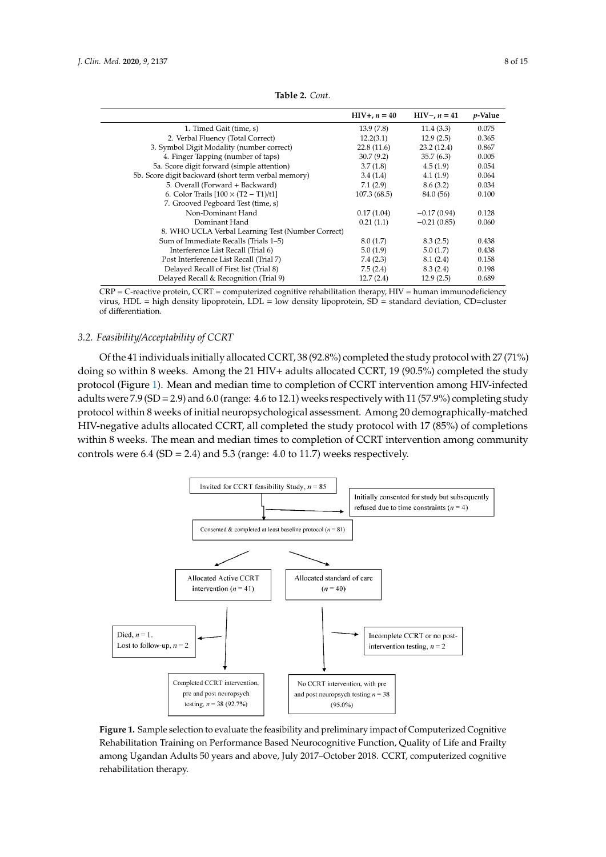<span id="page-7-0"></span>

|                                                     | $HIV+, n = 40$ | $HIV-, n = 41$ | <i>p</i> -Value |
|-----------------------------------------------------|----------------|----------------|-----------------|
| 1. Timed Gait (time, s)                             | 13.9 (7.8)     | 11.4(3.3)      | 0.075           |
| 2. Verbal Fluency (Total Correct)                   | 12.2(3.1)      | 12.9(2.5)      | 0.365           |
| 3. Symbol Digit Modality (number correct)           | 22.8(11.6)     | 23.2(12.4)     | 0.867           |
| 4. Finger Tapping (number of taps)                  | 30.7(9.2)      | 35.7(6.3)      | 0.005           |
| 5a. Score digit forward (simple attention)          | 3.7(1.8)       | 4.5(1.9)       | 0.054           |
| 5b. Score digit backward (short term verbal memory) | 3.4(1.4)       | 4.1(1.9)       | 0.064           |
| 5. Overall (Forward + Backward)                     | 7.1(2.9)       | 8.6(3.2)       | 0.034           |
| 6. Color Trails $[100 \times (T2 - T1)/t1]$         | 107.3(68.5)    | 84.0 (56)      | 0.100           |
| 7. Grooved Pegboard Test (time, s)                  |                |                |                 |
| Non-Dominant Hand                                   | 0.17(1.04)     | $-0.17(0.94)$  | 0.128           |
| Dominant Hand                                       | 0.21(1.1)      | $-0.21(0.85)$  | 0.060           |
| 8. WHO UCLA Verbal Learning Test (Number Correct)   |                |                |                 |
| Sum of Immediate Recalls (Trials 1-5)               | 8.0(1.7)       | 8.3(2.5)       | 0.438           |
| Interference List Recall (Trial 6)                  | 5.0(1.9)       | 5.0(1.7)       | 0.438           |
| Post Interference List Recall (Trial 7)             | 7.4(2.3)       | 8.1(2.4)       | 0.158           |
| Delayed Recall of First list (Trial 8)              | 7.5(2.4)       | 8.3(2.4)       | 0.198           |
| Delayed Recall & Recognition (Trial 9)              | 12.7(2.4)      | 12.9(2.5)      | 0.689           |

**Table 2.** *Cont.*

CRP = C-reactive protein, CCRT = computerized cognitive rehabilitation therapy, HIV = human immunodeficiency CRP = C-reactive protein, CCRT = computerized cognitive rehabilitation therapy, HIV = human virus, HDL = high density lipoprotein, LDL = low density lipoprotein, SD = standard deviation, CD=cluster<br>of differentiation of differentiation.

# *3.2. Feasibility*/*Acceptability of CCRT 3.2. Feasibility/Acceptability of CCRT*

Of the 41 individuals initially allocated CCRT, 38 (92.8%) completed the study protocol with 27 (71%) Of the 41 individuals initially allocated CCRT, 38 (92.8%) completed the study protocol with 27 doing so within 8 weeks. Among the 21 HIV+ adults allocated CCRT, 19 (90.5%) completed the study protocol (Figure [1\)](#page-7-1). Mean and median time to completion of CCRT intervention among HIV-infected adults were 7.9 (SD = 2.9) and 6.0 (range: 4.6 to 12.1) weeks respectively with 11 (57.9%) completing study protocol within 8 weeks of initial neuropsychological assessment. Among 20 demographically-matched .<br>HIV-negative adults allocated CCRT, all completed the study protocol with 17 (85%) of completions within 8 weeks. The mean and median times to completion of CCRT intervention among community controls were  $6.4$  (SD = 2.4) and  $5.3$  (range:  $4.0$  to  $11.7$ ) weeks respectively. intervention among community controls were 6.4 (SD = 2.4) and 5.3 (range: 4.0 to 11.7) were 6.3 (range: 4.0 to 11.7) were 6.4 (range: 4.0 to 11.7) were 6.4 (range: 4.0 to 11.7) were 6.4 (range: 4.0 to 11.7) were 6.4 (range

<span id="page-7-1"></span>

**Figure 1.** Sample selection to evaluate the feasibility and preliminary impact of Computerized **Figure 1.** Sample selection to evaluate the feasibility and preliminary impact of Computerized Cognitive Rehabilitation Training on Performance Based Neurocognitive Function, Quality of Life and Frailty among Ugandan Adults 50 years and above, July 2017–October 2018. CCRT, computerized cognitive rehabilitation therapy.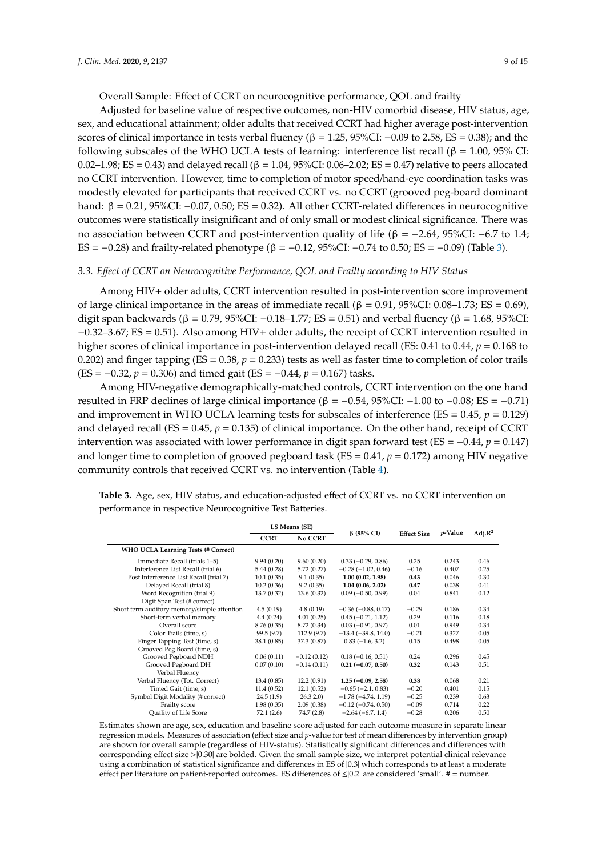Adjusted for baseline value of respective outcomes, non-HIV comorbid disease, HIV status, age, sex, and educational attainment; older adults that received CCRT had higher average post-intervention scores of clinical importance in tests verbal fluency ( $\beta = 1.25$ , 95%CI: −0.09 to 2.58, ES = 0.38); and the following subscales of the WHO UCLA tests of learning: interference list recall (β = 1.00, 95% CI: 0.02–1.98; ES = 0.43) and delayed recall (β = 1.04, 95%CI: 0.06–2.02; ES = 0.47) relative to peers allocated no CCRT intervention. However, time to completion of motor speed/hand-eye coordination tasks was modestly elevated for participants that received CCRT vs. no CCRT (grooved peg-board dominant hand:  $β = 0.21, 95%CI: -0.07, 0.50; ES = 0.32$ ). All other CCRT-related differences in neurocognitive outcomes were statistically insignificant and of only small or modest clinical significance. There was no association between CCRT and post-intervention quality of life ( $β = -2.64$ , 95%CI: -6.7 to 1.4; ES = −0.28) and frailty-related phenotype ( $β$  = −0.12, 95%CI: −0.74 to 0.50; ES = −0.09) (Table [3\)](#page-8-0).

# *3.3. E*ff*ect of CCRT on Neurocognitive Performance, QOL and Frailty according to HIV Status*

Among HIV+ older adults, CCRT intervention resulted in post-intervention score improvement of large clinical importance in the areas of immediate recall (β = 0.91, 95%CI: 0.08–1.73; ES = 0.69), digit span backwards (β = 0.79, 95%CI: -0.18–1.77; ES = 0.51) and verbal fluency (β = 1.68, 95%CI: −0.32–3.67; ES = 0.51). Also among HIV+ older adults, the receipt of CCRT intervention resulted in higher scores of clinical importance in post-intervention delayed recall (ES: 0.41 to 0.44, *p* = 0.168 to 0.202) and finger tapping (ES =  $0.38$ ,  $p = 0.233$ ) tests as well as faster time to completion of color trails (ES = −0.32, *p* = 0.306) and timed gait (ES = −0.44, *p* = 0.167) tasks.

Among HIV-negative demographically-matched controls, CCRT intervention on the one hand resulted in FRP declines of large clinical importance (β =  $-0.54$ , 95%CI:  $-1.00$  to  $-0.08$ ; ES =  $-0.71$ ) and improvement in WHO UCLA learning tests for subscales of interference ( $ES = 0.45$ ,  $p = 0.129$ ) and delayed recall ( $ES = 0.45$ ,  $p = 0.135$ ) of clinical importance. On the other hand, receipt of CCRT intervention was associated with lower performance in digit span forward test (ES = −0.44, *p* = 0.147) and longer time to completion of grooved pegboard task (ES = 0.41, *p* = 0.172) among HIV negative community controls that received CCRT vs. no intervention (Table [4\)](#page-9-0).

|                                             | LS Means (SE) |               |                             |                    |                 |            |
|---------------------------------------------|---------------|---------------|-----------------------------|--------------------|-----------------|------------|
|                                             | <b>CCRT</b>   | No CCRT       | $\beta$ (95% CI)            | <b>Effect Size</b> | <i>p</i> -Value | Adj. $R^2$ |
| WHO UCLA Learning Tests (# Correct)         |               |               |                             |                    |                 |            |
| Immediate Recall (trials 1-5)               | 9.94(0.20)    | 9.60(0.20)    | $0.33(-0.29, 0.86)$         | 0.25               | 0.243           | 0.46       |
| Interference List Recall (trial 6)          | 5.44(0.28)    | 5.72(0.27)    | $-0.28(-1.02, 0.46)$        | $-0.16$            | 0.407           | 0.25       |
| Post Interference List Recall (trial 7)     | 10.1(0.35)    | 9.1(0.35)     | 1.00(0.02, 1.98)            | 0.43               | 0.046           | 0.30       |
| Delayed Recall (trial 8)                    | 10.2(0.36)    | 9.2(0.35)     | 1.04(0.06, 2.02)            | 0.47               | 0.038           | 0.41       |
| Word Recognition (trial 9)                  | 13.7 (0.32)   | 13.6(0.32)    | $0.09$ ( $-0.50$ , $0.99$ ) | 0.04               | 0.841           | 0.12       |
| Digit Span Test (# correct)                 |               |               |                             |                    |                 |            |
| Short term auditory memory/simple attention | 4.5(0.19)     | 4.8(0.19)     | $-0.36$ ( $-0.88$ , 0.17)   | $-0.29$            | 0.186           | 0.34       |
| Short-term verbal memory                    | 4.4(0.24)     | 4.01(0.25)    | $0.45(-0.21, 1.12)$         | 0.29               | 0.116           | 0.18       |
| Overall score                               | 8.76 (0.35)   | 8.72 (0.34)   | $0.03(-0.91, 0.97)$         | 0.01               | 0.949           | 0.34       |
| Color Trails (time, s)                      | 99.5(9.7)     | 112.9(9.7)    | $-13.4(-39.8, 14.0)$        | $-0.21$            | 0.327           | 0.05       |
| Finger Tapping Test (time, s)               | 38.1(0.85)    | 37.3 (0.87)   | $0.83(-1.6, 3.2)$           | 0.15               | 0.498           | 0.05       |
| Grooved Peg Board (time, s)                 |               |               |                             |                    |                 |            |
| Grooved Pegboard NDH                        | 0.06(0.11)    | $-0.12(0.12)$ | $0.18(-0.16, 0.51)$         | 0.24               | 0.296           | 0.45       |
| Grooved Pegboard DH                         | 0.07(0.10)    | $-0.14(0.11)$ | $0.21 (-0.07, 0.50)$        | 0.32               | 0.143           | 0.51       |
| Verbal Fluency                              |               |               |                             |                    |                 |            |
| Verbal Fluency (Tot. Correct)               | 13.4(0.85)    | 12.2(0.91)    | $1.25(-0.09, 2.58)$         | 0.38               | 0.068           | 0.21       |
| Timed Gait (time, s)                        | 11.4(0.52)    | 12.1(0.52)    | $-0.65$ ( $-2.1, 0.83$ )    | $-0.20$            | 0.401           | 0.15       |
| Symbol Digit Modality (# correct)           | 24.5(1.9)     | 26.32.0       | $-1.78(-4.74, 1.19)$        | $-0.25$            | 0.239           | 0.63       |
| Frailty score                               | 1.98(0.35)    | 2.09(0.38)    | $-0.12$ ( $-0.74$ , 0.50)   | $-0.09$            | 0.714           | 0.22       |
| Quality of Life Score                       | 72.1(2.6)     | 74.7 (2.8)    | $-2.64(-6.7, 1.4)$          | $-0.28$            | 0.206           | 0.50       |

<span id="page-8-0"></span>Table 3. Age, sex, HIV status, and education-adjusted effect of CCRT vs. no CCRT intervention on performance in respective Neurocognitive Test Batteries.

Estimates shown are age, sex, education and baseline score adjusted for each outcome measure in separate linear regression models. Measures of association (effect size and *p*-value for test of mean differences by intervention group) are shown for overall sample (regardless of HIV-status). Statistically significant differences and differences with corresponding effect size >|0.30| are bolded. Given the small sample size, we interpret potential clinical relevance using a combination of statistical significance and differences in ES of |0.3| which corresponds to at least a moderate effect per literature on patient-reported outcomes. ES differences of  $\leq$  |0.2| are considered 'small'. # = number.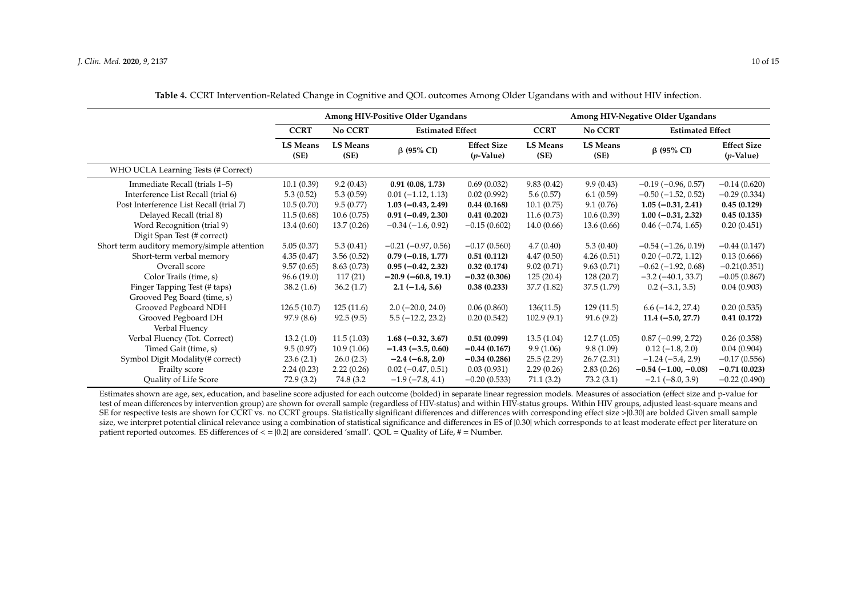|                                             | Among HIV-Positive Older Ugandans |                         |                           | Among HIV-Negative Older Ugandans  |                         |                                    |                           |                                          |  |
|---------------------------------------------|-----------------------------------|-------------------------|---------------------------|------------------------------------|-------------------------|------------------------------------|---------------------------|------------------------------------------|--|
|                                             | <b>CCRT</b>                       | No CCRT                 | <b>Estimated Effect</b>   |                                    | <b>CCRT</b>             | No CCRT<br><b>Estimated Effect</b> |                           |                                          |  |
|                                             | <b>LS Means</b><br>(SE)           | <b>LS Means</b><br>(SE) | $\beta$ (95% CI)          | <b>Effect Size</b><br>$(p$ -Value) | <b>LS Means</b><br>(SE) | <b>LS Means</b><br>(SE)            | $\beta$ (95% CI)          | <b>Effect Size</b><br>$(p\text{-Value})$ |  |
| WHO UCLA Learning Tests (# Correct)         |                                   |                         |                           |                                    |                         |                                    |                           |                                          |  |
| Immediate Recall (trials 1–5)               | 10.1(0.39)                        | 9.2(0.43)               | 0.91(0.08, 1.73)          | 0.69(0.032)                        | 9.83(0.42)              | 9.9(0.43)                          | $-0.19$ ( $-0.96$ , 0.57) | $-0.14(0.620)$                           |  |
| Interference List Recall (trial 6)          | 5.3(0.52)                         | 5.3(0.59)               | $0.01(-1.12, 1.13)$       | 0.02(0.992)                        | 5.6(0.57)               | 6.1(0.59)                          | $-0.50$ ( $-1.52$ , 0.52) | $-0.29(0.334)$                           |  |
| Post Interference List Recall (trial 7)     | 10.5(0.70)                        | 9.5(0.77)               | $1.03(-0.43, 2.49)$       | 0.44(0.168)                        | 10.1(0.75)              | 9.1(0.76)                          | $1.05(-0.31, 2.41)$       | 0.45(0.129)                              |  |
| Delayed Recall (trial 8)                    | 11.5(0.68)                        | 10.6(0.75)              | $0.91 (-0.49, 2.30)$      | 0.41(0.202)                        | 11.6(0.73)              | 10.6(0.39)                         | $1.00 (-0.31, 2.32)$      | 0.45(0.135)                              |  |
| Word Recognition (trial 9)                  | 13.4(0.60)                        | 13.7(0.26)              | $-0.34(-1.6, 0.92)$       | $-0.15(0.602)$                     | 14.0(0.66)              | 13.6(0.66)                         | $0.46 (-0.74, 1.65)$      | 0.20(0.451)                              |  |
| Digit Span Test (# correct)                 |                                   |                         |                           |                                    |                         |                                    |                           |                                          |  |
| Short term auditory memory/simple attention | 5.05(0.37)                        | 5.3(0.41)               | $-0.21$ ( $-0.97$ , 0.56) | $-0.17(0.560)$                     | 4.7(0.40)               | 5.3(0.40)                          | $-0.54(-1.26, 0.19)$      | $-0.44(0.147)$                           |  |
| Short-term verbal memory                    | 4.35(0.47)                        | 3.56(0.52)              | $0.79(-0.18, 1.77)$       | 0.51(0.112)                        | 4.47(0.50)              | 4.26(0.51)                         | $0.20(-0.72, 1.12)$       | 0.13(0.666)                              |  |
| Overall score                               | 9.57(0.65)                        | 8.63(0.73)              | $0.95 (-0.42, 2.32)$      | 0.32(0.174)                        | 9.02(0.71)              | 9.63(0.71)                         | $-0.62$ ( $-1.92$ , 0.68) | $-0.21(0.351)$                           |  |
| Color Trails (time, s)                      | 96.6(19.0)                        | 117(21)                 | $-20.9(-60.8, 19.1)$      | $-0.32(0.306)$                     | 125(20.4)               | 128(20.7)                          | $-3.2$ ( $-40.1$ , 33.7)  | $-0.05(0.867)$                           |  |
| Finger Tapping Test (# taps)                | 38.2(1.6)                         | 36.2(1.7)               | $2.1(-1.4, 5.6)$          | 0.38(0.233)                        | 37.7(1.82)              | 37.5(1.79)                         | $0.2(-3.1, 3.5)$          | 0.04(0.903)                              |  |
| Grooved Peg Board (time, s)                 |                                   |                         |                           |                                    |                         |                                    |                           |                                          |  |
| Grooved Pegboard NDH                        | 126.5(10.7)                       | 125(11.6)               | $2.0(-20.0, 24.0)$        | 0.06(0.860)                        | 136(11.5)               | 129(11.5)                          | $6.6(-14.2, 27.4)$        | 0.20(0.535)                              |  |
| Grooved Pegboard DH                         | 97.9 (8.6)                        | 92.5(9.5)               | $5.5(-12.2, 23.2)$        | 0.20(0.542)                        | 102.9(9.1)              | 91.6(9.2)                          | $11.4 (-5.0, 27.7)$       | 0.41(0.172)                              |  |
| Verbal Fluency                              |                                   |                         |                           |                                    |                         |                                    |                           |                                          |  |
| Verbal Fluency (Tot. Correct)               | 13.2(1.0)                         | 11.5(1.03)              | $1.68(-0.32, 3.67)$       | 0.51(0.099)                        | 13.5(1.04)              | 12.7(1.05)                         | $0.87(-0.99, 2.72)$       | 0.26(0.358)                              |  |
| Timed Gait (time, s)                        | 9.5(0.97)                         | 10.9(1.06)              | $-1.43(-3.5, 0.60)$       | $-0.44(0.167)$                     | 9.9(1.06)               | 9.8(1.09)                          | $0.12(-1.8, 2.0)$         | 0.04(0.904)                              |  |
| Symbol Digit Modality(# correct)            | 23.6(2.1)                         | 26.0(2.3)               | $-2.4(-6.8, 2.0)$         | $-0.34(0.286)$                     | 25.5(2.29)              | 26.7(2.31)                         | $-1.24(-5.4, 2.9)$        | $-0.17(0.556)$                           |  |
| Frailty score                               | 2.24(0.23)                        | 2.22(0.26)              | $0.02$ (-0.47, 0.51)      | 0.03(0.931)                        | 2.29(0.26)              | 2.83(0.26)                         | $-0.54(-1.00, -0.08)$     | $-0.71(0.023)$                           |  |
| Quality of Life Score                       | 72.9(3.2)                         | 74.8 (3.2)              | $-1.9$ ( $-7.8$ , 4.1)    | $-0.20(0.533)$                     | 71.1(3.2)               | 73.2(3.1)                          | $-2.1(-8.0, 3.9)$         | $-0.22(0.490)$                           |  |

**Table 4.** CCRT Intervention-Related Change in Cognitive and QOL outcomes Among Older Ugandans with and without HIV infection.

<span id="page-9-0"></span>Estimates shown are age, sex, education, and baseline score adjusted for each outcome (bolded) in separate linear regression models. Measures of association (effect size and p-value for test of mean differences by intervention group) are shown for overall sample (regardless of HIV-status) and within HIV-status groups. Within HIV groups, adjusted least-square means and SE for respective tests are shown for CCRT vs. no CCRT groups. Statistically significant differences and differences with corresponding effect size >|0.30| are bolded Given small sample size, we interpret potential clinical relevance using a combination of statistical significance and differences in ES of  $|0.30|$  which corresponds to at least moderate effect per literature on patient reported outcomes. ES differences of  $\langle = |0.2|$  are considered 'small'. QOL = Quality of Life, # = Number.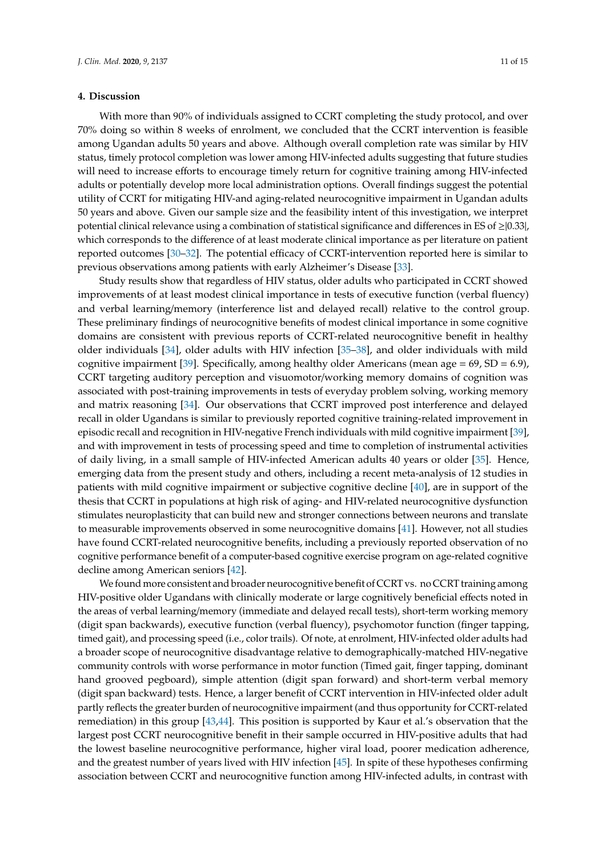# **4. Discussion**

With more than 90% of individuals assigned to CCRT completing the study protocol, and over 70% doing so within 8 weeks of enrolment, we concluded that the CCRT intervention is feasible among Ugandan adults 50 years and above. Although overall completion rate was similar by HIV status, timely protocol completion was lower among HIV-infected adults suggesting that future studies will need to increase efforts to encourage timely return for cognitive training among HIV-infected adults or potentially develop more local administration options. Overall findings suggest the potential utility of CCRT for mitigating HIV-and aging-related neurocognitive impairment in Ugandan adults 50 years and above. Given our sample size and the feasibility intent of this investigation, we interpret potential clinical relevance using a combination of statistical significance and differences in ES of ≥|0.33|, which corresponds to the difference of at least moderate clinical importance as per literature on patient reported outcomes [\[30–](#page-13-9)[32\]](#page-13-10). The potential efficacy of CCRT-intervention reported here is similar to previous observations among patients with early Alzheimer's Disease [\[33\]](#page-13-11).

Study results show that regardless of HIV status, older adults who participated in CCRT showed improvements of at least modest clinical importance in tests of executive function (verbal fluency) and verbal learning/memory (interference list and delayed recall) relative to the control group. These preliminary findings of neurocognitive benefits of modest clinical importance in some cognitive domains are consistent with previous reports of CCRT-related neurocognitive benefit in healthy older individuals [\[34\]](#page-13-12), older adults with HIV infection [\[35](#page-13-13)[–38\]](#page-14-0), and older individuals with mild cognitive impairment [\[39\]](#page-14-1). Specifically, among healthy older Americans (mean age =  $69$ , SD =  $6.9$ ), CCRT targeting auditory perception and visuomotor/working memory domains of cognition was associated with post-training improvements in tests of everyday problem solving, working memory and matrix reasoning [\[34\]](#page-13-12). Our observations that CCRT improved post interference and delayed recall in older Ugandans is similar to previously reported cognitive training-related improvement in episodic recall and recognition in HIV-negative French individuals with mild cognitive impairment [\[39\]](#page-14-1), and with improvement in tests of processing speed and time to completion of instrumental activities of daily living, in a small sample of HIV-infected American adults 40 years or older [\[35\]](#page-13-13). Hence, emerging data from the present study and others, including a recent meta-analysis of 12 studies in patients with mild cognitive impairment or subjective cognitive decline [\[40\]](#page-14-2), are in support of the thesis that CCRT in populations at high risk of aging- and HIV-related neurocognitive dysfunction stimulates neuroplasticity that can build new and stronger connections between neurons and translate to measurable improvements observed in some neurocognitive domains [\[41\]](#page-14-3). However, not all studies have found CCRT-related neurocognitive benefits, including a previously reported observation of no cognitive performance benefit of a computer-based cognitive exercise program on age-related cognitive decline among American seniors [\[42\]](#page-14-4).

We found more consistent and broader neurocognitive benefit of CCRT vs. no CCRT training among HIV-positive older Ugandans with clinically moderate or large cognitively beneficial effects noted in the areas of verbal learning/memory (immediate and delayed recall tests), short-term working memory (digit span backwards), executive function (verbal fluency), psychomotor function (finger tapping, timed gait), and processing speed (i.e., color trails). Of note, at enrolment, HIV-infected older adults had a broader scope of neurocognitive disadvantage relative to demographically-matched HIV-negative community controls with worse performance in motor function (Timed gait, finger tapping, dominant hand grooved pegboard), simple attention (digit span forward) and short-term verbal memory (digit span backward) tests. Hence, a larger benefit of CCRT intervention in HIV-infected older adult partly reflects the greater burden of neurocognitive impairment (and thus opportunity for CCRT-related remediation) in this group [\[43,](#page-14-5)[44\]](#page-14-6). This position is supported by Kaur et al.'s observation that the largest post CCRT neurocognitive benefit in their sample occurred in HIV-positive adults that had the lowest baseline neurocognitive performance, higher viral load, poorer medication adherence, and the greatest number of years lived with HIV infection [\[45\]](#page-14-7). In spite of these hypotheses confirming association between CCRT and neurocognitive function among HIV-infected adults, in contrast with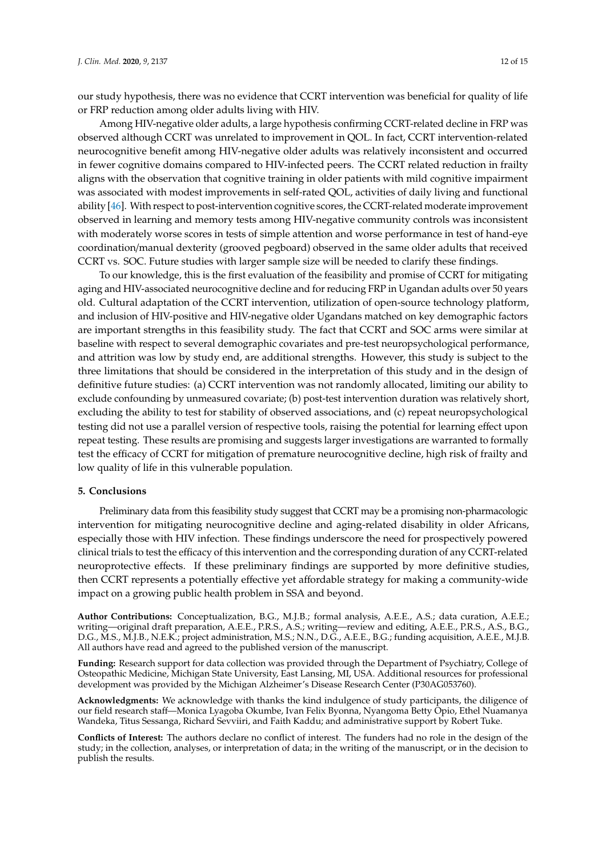our study hypothesis, there was no evidence that CCRT intervention was beneficial for quality of life or FRP reduction among older adults living with HIV.

Among HIV-negative older adults, a large hypothesis confirming CCRT-related decline in FRP was observed although CCRT was unrelated to improvement in QOL. In fact, CCRT intervention-related neurocognitive benefit among HIV-negative older adults was relatively inconsistent and occurred in fewer cognitive domains compared to HIV-infected peers. The CCRT related reduction in frailty aligns with the observation that cognitive training in older patients with mild cognitive impairment was associated with modest improvements in self-rated QOL, activities of daily living and functional ability [\[46\]](#page-14-8). With respect to post-intervention cognitive scores, the CCRT-related moderate improvement observed in learning and memory tests among HIV-negative community controls was inconsistent with moderately worse scores in tests of simple attention and worse performance in test of hand-eye coordination/manual dexterity (grooved pegboard) observed in the same older adults that received CCRT vs. SOC. Future studies with larger sample size will be needed to clarify these findings.

To our knowledge, this is the first evaluation of the feasibility and promise of CCRT for mitigating aging and HIV-associated neurocognitive decline and for reducing FRP in Ugandan adults over 50 years old. Cultural adaptation of the CCRT intervention, utilization of open-source technology platform, and inclusion of HIV-positive and HIV-negative older Ugandans matched on key demographic factors are important strengths in this feasibility study. The fact that CCRT and SOC arms were similar at baseline with respect to several demographic covariates and pre-test neuropsychological performance, and attrition was low by study end, are additional strengths. However, this study is subject to the three limitations that should be considered in the interpretation of this study and in the design of definitive future studies: (a) CCRT intervention was not randomly allocated, limiting our ability to exclude confounding by unmeasured covariate; (b) post-test intervention duration was relatively short, excluding the ability to test for stability of observed associations, and (c) repeat neuropsychological testing did not use a parallel version of respective tools, raising the potential for learning effect upon repeat testing. These results are promising and suggests larger investigations are warranted to formally test the efficacy of CCRT for mitigation of premature neurocognitive decline, high risk of frailty and low quality of life in this vulnerable population.

# **5. Conclusions**

Preliminary data from this feasibility study suggest that CCRT may be a promising non-pharmacologic intervention for mitigating neurocognitive decline and aging-related disability in older Africans, especially those with HIV infection. These findings underscore the need for prospectively powered clinical trials to test the efficacy of this intervention and the corresponding duration of any CCRT-related neuroprotective effects. If these preliminary findings are supported by more definitive studies, then CCRT represents a potentially effective yet affordable strategy for making a community-wide impact on a growing public health problem in SSA and beyond.

**Author Contributions:** Conceptualization, B.G., M.J.B.; formal analysis, A.E.E., A.S.; data curation, A.E.E.; writing—original draft preparation, A.E.E., P.R.S., A.S.; writing—review and editing, A.E.E., P.R.S., A.S., B.G., D.G., M.S., M.J.B., N.E.K.; project administration, M.S.; N.N., D.G., A.E.E., B.G.; funding acquisition, A.E.E., M.J.B. All authors have read and agreed to the published version of the manuscript.

**Funding:** Research support for data collection was provided through the Department of Psychiatry, College of Osteopathic Medicine, Michigan State University, East Lansing, MI, USA. Additional resources for professional development was provided by the Michigan Alzheimer's Disease Research Center (P30AG053760).

**Acknowledgments:** We acknowledge with thanks the kind indulgence of study participants, the diligence of our field research staff—Monica Lyagoba Okumbe, Ivan Felix Byonna, Nyangoma Betty Opio, Ethel Nuamanya Wandeka, Titus Sessanga, Richard Sevviiri, and Faith Kaddu; and administrative support by Robert Tuke.

**Conflicts of Interest:** The authors declare no conflict of interest. The funders had no role in the design of the study; in the collection, analyses, or interpretation of data; in the writing of the manuscript, or in the decision to publish the results.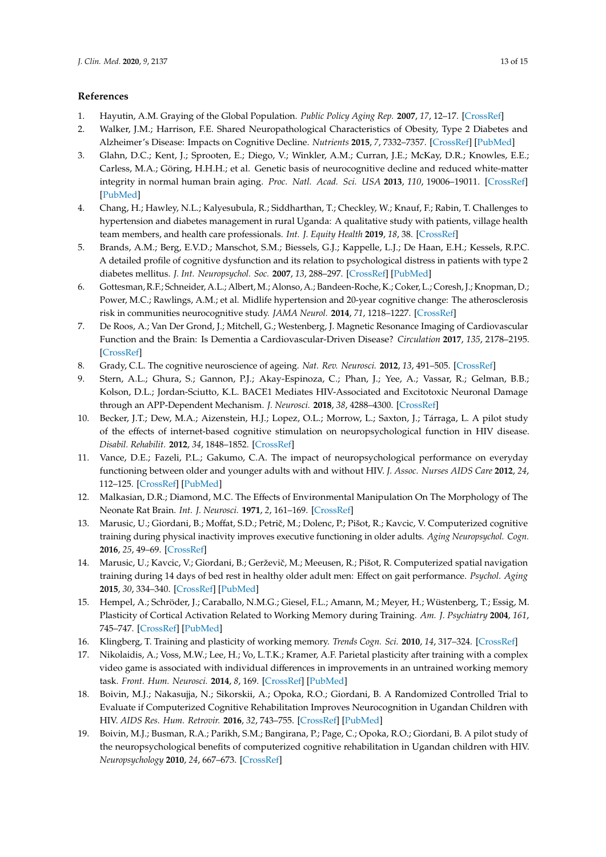# **References**

- <span id="page-12-0"></span>1. Hayutin, A.M. Graying of the Global Population. *Public Policy Aging Rep.* **2007**, *17*, 12–17. [\[CrossRef\]](http://dx.doi.org/10.1093/ppar/17.4.12)
- <span id="page-12-1"></span>2. Walker, J.M.; Harrison, F.E. Shared Neuropathological Characteristics of Obesity, Type 2 Diabetes and Alzheimer's Disease: Impacts on Cognitive Decline. *Nutrients* **2015**, *7*, 7332–7357. [\[CrossRef\]](http://dx.doi.org/10.3390/nu7095341) [\[PubMed\]](http://www.ncbi.nlm.nih.gov/pubmed/26340637)
- <span id="page-12-2"></span>3. Glahn, D.C.; Kent, J.; Sprooten, E.; Diego, V.; Winkler, A.M.; Curran, J.E.; McKay, D.R.; Knowles, E.E.; Carless, M.A.; Göring, H.H.H.; et al. Genetic basis of neurocognitive decline and reduced white-matter integrity in normal human brain aging. *Proc. Natl. Acad. Sci. USA* **2013**, *110*, 19006–19011. [\[CrossRef\]](http://dx.doi.org/10.1073/pnas.1313735110) [\[PubMed\]](http://www.ncbi.nlm.nih.gov/pubmed/24191011)
- <span id="page-12-3"></span>4. Chang, H.; Hawley, N.L.; Kalyesubula, R.; Siddharthan, T.; Checkley, W.; Knauf, F.; Rabin, T. Challenges to hypertension and diabetes management in rural Uganda: A qualitative study with patients, village health team members, and health care professionals. *Int. J. Equity Health* **2019**, *18*, 38. [\[CrossRef\]](http://dx.doi.org/10.1186/s12939-019-0934-1)
- 5. Brands, A.M.; Berg, E.V.D.; Manschot, S.M.; Biessels, G.J.; Kappelle, L.J.; De Haan, E.H.; Kessels, R.P.C. A detailed profile of cognitive dysfunction and its relation to psychological distress in patients with type 2 diabetes mellitus. *J. Int. Neuropsychol. Soc.* **2007**, *13*, 288–297. [\[CrossRef\]](http://dx.doi.org/10.1017/S1355617707070312) [\[PubMed\]](http://www.ncbi.nlm.nih.gov/pubmed/17286886)
- 6. Gottesman, R.F.; Schneider, A.L.; Albert, M.; Alonso, A.; Bandeen-Roche, K.; Coker, L.; Coresh, J.; Knopman, D.; Power, M.C.; Rawlings, A.M.; et al. Midlife hypertension and 20-year cognitive change: The atherosclerosis risk in communities neurocognitive study. *JAMA Neurol.* **2014**, *71*, 1218–1227. [\[CrossRef\]](http://dx.doi.org/10.1001/jamaneurol.2014.1646)
- <span id="page-12-4"></span>7. De Roos, A.; Van Der Grond, J.; Mitchell, G.; Westenberg, J. Magnetic Resonance Imaging of Cardiovascular Function and the Brain: Is Dementia a Cardiovascular-Driven Disease? *Circulation* **2017**, *135*, 2178–2195. [\[CrossRef\]](http://dx.doi.org/10.1161/CIRCULATIONAHA.116.021978)
- <span id="page-12-5"></span>8. Grady, C.L. The cognitive neuroscience of ageing. *Nat. Rev. Neurosci.* **2012**, *13*, 491–505. [\[CrossRef\]](http://dx.doi.org/10.1038/nrn3256)
- <span id="page-12-6"></span>9. Stern, A.L.; Ghura, S.; Gannon, P.J.; Akay-Espinoza, C.; Phan, J.; Yee, A.; Vassar, R.; Gelman, B.B.; Kolson, D.L.; Jordan-Sciutto, K.L. BACE1 Mediates HIV-Associated and Excitotoxic Neuronal Damage through an APP-Dependent Mechanism. *J. Neurosci.* **2018**, *38*, 4288–4300. [\[CrossRef\]](http://dx.doi.org/10.1523/JNEUROSCI.1280-17.2018)
- <span id="page-12-7"></span>10. Becker, J.T.; Dew, M.A.; Aizenstein, H.J.; Lopez, O.L.; Morrow, L.; Saxton, J.; Tárraga, L. A pilot study of the effects of internet-based cognitive stimulation on neuropsychological function in HIV disease. *Disabil. Rehabilit.* **2012**, *34*, 1848–1852. [\[CrossRef\]](http://dx.doi.org/10.3109/09638288.2012.667188)
- <span id="page-12-8"></span>11. Vance, D.E.; Fazeli, P.L.; Gakumo, C.A. The impact of neuropsychological performance on everyday functioning between older and younger adults with and without HIV. *J. Assoc. Nurses AIDS Care* **2012**, *24*, 112–125. [\[CrossRef\]](http://dx.doi.org/10.1016/j.jana.2012.05.002) [\[PubMed\]](http://www.ncbi.nlm.nih.gov/pubmed/22943982)
- <span id="page-12-9"></span>12. Malkasian, D.R.; Diamond, M.C. The Effects of Environmental Manipulation On The Morphology of The Neonate Rat Brain. *Int. J. Neurosci.* **1971**, *2*, 161–169. [\[CrossRef\]](http://dx.doi.org/10.3109/00207457109146998)
- <span id="page-12-10"></span>13. Marusic, U.; Giordani, B.; Moffat, S.D.; Petrič, M.; Dolenc, P.; Pišot, R.; Kavcic, V. Computerized cognitive training during physical inactivity improves executive functioning in older adults. *Aging Neuropsychol. Cogn.* **2016**, *25*, 49–69. [\[CrossRef\]](http://dx.doi.org/10.1080/13825585.2016.1263724)
- <span id="page-12-11"></span>14. Marusic, U.; Kavcic, V.; Giordani, B.; Gerževič, M.; Meeusen, R.; Pišot, R. Computerized spatial navigation training during 14 days of bed rest in healthy older adult men: Effect on gait performance. *Psychol. Aging* **2015**, *30*, 334–340. [\[CrossRef\]](http://dx.doi.org/10.1037/pag0000021) [\[PubMed\]](http://www.ncbi.nlm.nih.gov/pubmed/25938245)
- <span id="page-12-12"></span>15. Hempel, A.; Schröder, J.; Caraballo, N.M.G.; Giesel, F.L.; Amann, M.; Meyer, H.; Wüstenberg, T.; Essig, M. Plasticity of Cortical Activation Related to Working Memory during Training. *Am. J. Psychiatry* **2004**, *161*, 745–747. [\[CrossRef\]](http://dx.doi.org/10.1176/appi.ajp.161.4.745) [\[PubMed\]](http://www.ncbi.nlm.nih.gov/pubmed/15056524)
- 16. Klingberg, T. Training and plasticity of working memory. *Trends Cogn. Sci.* **2010**, *14*, 317–324. [\[CrossRef\]](http://dx.doi.org/10.1016/j.tics.2010.05.002)
- <span id="page-12-13"></span>17. Nikolaidis, A.; Voss, M.W.; Lee, H.; Vo, L.T.K.; Kramer, A.F. Parietal plasticity after training with a complex video game is associated with individual differences in improvements in an untrained working memory task. *Front. Hum. Neurosci.* **2014**, *8*, 169. [\[CrossRef\]](http://dx.doi.org/10.3389/fnhum.2014.00169) [\[PubMed\]](http://www.ncbi.nlm.nih.gov/pubmed/24711792)
- <span id="page-12-14"></span>18. Boivin, M.J.; Nakasujja, N.; Sikorskii, A.; Opoka, R.O.; Giordani, B. A Randomized Controlled Trial to Evaluate if Computerized Cognitive Rehabilitation Improves Neurocognition in Ugandan Children with HIV. *AIDS Res. Hum. Retrovir.* **2016**, *32*, 743–755. [\[CrossRef\]](http://dx.doi.org/10.1089/aid.2016.0026) [\[PubMed\]](http://www.ncbi.nlm.nih.gov/pubmed/27045714)
- 19. Boivin, M.J.; Busman, R.A.; Parikh, S.M.; Bangirana, P.; Page, C.; Opoka, R.O.; Giordani, B. A pilot study of the neuropsychological benefits of computerized cognitive rehabilitation in Ugandan children with HIV. *Neuropsychology* **2010**, *24*, 667–673. [\[CrossRef\]](http://dx.doi.org/10.1037/a0019312)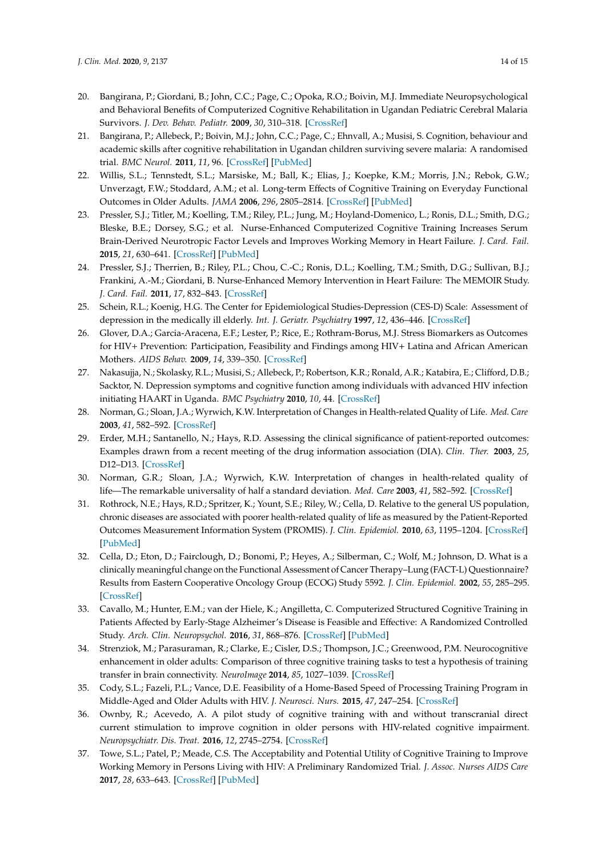- 20. Bangirana, P.; Giordani, B.; John, C.C.; Page, C.; Opoka, R.O.; Boivin, M.J. Immediate Neuropsychological and Behavioral Benefits of Computerized Cognitive Rehabilitation in Ugandan Pediatric Cerebral Malaria Survivors. *J. Dev. Behav. Pediatr.* **2009**, *30*, 310–318. [\[CrossRef\]](http://dx.doi.org/10.1097/DBP.0b013e3181b0f01b)
- <span id="page-13-0"></span>21. Bangirana, P.; Allebeck, P.; Boivin, M.J.; John, C.C.; Page, C.; Ehnvall, A.; Musisi, S. Cognition, behaviour and academic skills after cognitive rehabilitation in Ugandan children surviving severe malaria: A randomised trial. *BMC Neurol.* **2011**, *11*, 96. [\[CrossRef\]](http://dx.doi.org/10.1186/1471-2377-11-96) [\[PubMed\]](http://www.ncbi.nlm.nih.gov/pubmed/21816079)
- <span id="page-13-1"></span>22. Willis, S.L.; Tennstedt, S.L.; Marsiske, M.; Ball, K.; Elias, J.; Koepke, K.M.; Morris, J.N.; Rebok, G.W.; Unverzagt, F.W.; Stoddard, A.M.; et al. Long-term Effects of Cognitive Training on Everyday Functional Outcomes in Older Adults. *JAMA* **2006**, *296*, 2805–2814. [\[CrossRef\]](http://dx.doi.org/10.1001/jama.296.23.2805) [\[PubMed\]](http://www.ncbi.nlm.nih.gov/pubmed/17179457)
- <span id="page-13-2"></span>23. Pressler, S.J.; Titler, M.; Koelling, T.M.; Riley, P.L.; Jung, M.; Hoyland-Domenico, L.; Ronis, D.L.; Smith, D.G.; Bleske, B.E.; Dorsey, S.G.; et al. Nurse-Enhanced Computerized Cognitive Training Increases Serum Brain-Derived Neurotropic Factor Levels and Improves Working Memory in Heart Failure. *J. Card. Fail.* **2015**, *21*, 630–641. [\[CrossRef\]](http://dx.doi.org/10.1016/j.cardfail.2015.05.004) [\[PubMed\]](http://www.ncbi.nlm.nih.gov/pubmed/25982826)
- <span id="page-13-3"></span>24. Pressler, S.J.; Therrien, B.; Riley, P.L.; Chou, C.-C.; Ronis, D.L.; Koelling, T.M.; Smith, D.G.; Sullivan, B.J.; Frankini, A.-M.; Giordani, B. Nurse-Enhanced Memory Intervention in Heart Failure: The MEMOIR Study. *J. Card. Fail.* **2011**, *17*, 832–843. [\[CrossRef\]](http://dx.doi.org/10.1016/j.cardfail.2011.06.650)
- <span id="page-13-4"></span>25. Schein, R.L.; Koenig, H.G. The Center for Epidemiological Studies-Depression (CES-D) Scale: Assessment of depression in the medically ill elderly. *Int. J. Geriatr. Psychiatry* **1997**, *12*, 436–446. [\[CrossRef\]](http://dx.doi.org/10.1002/(SICI)1099-1166(199704)12:4<436::AID-GPS499>3.0.CO;2-M)
- <span id="page-13-5"></span>26. Glover, D.A.; Garcia-Aracena, E.F.; Lester, P.; Rice, E.; Rothram-Borus, M.J. Stress Biomarkers as Outcomes for HIV+ Prevention: Participation, Feasibility and Findings among HIV+ Latina and African American Mothers. *AIDS Behav.* **2009**, *14*, 339–350. [\[CrossRef\]](http://dx.doi.org/10.1007/s10461-009-9549-7)
- <span id="page-13-6"></span>27. Nakasujja, N.; Skolasky, R.L.; Musisi, S.; Allebeck, P.; Robertson, K.R.; Ronald, A.R.; Katabira, E.; Clifford, D.B.; Sacktor, N. Depression symptoms and cognitive function among individuals with advanced HIV infection initiating HAART in Uganda. *BMC Psychiatry* **2010**, *10*, 44. [\[CrossRef\]](http://dx.doi.org/10.1186/1471-244X-10-44)
- <span id="page-13-7"></span>28. Norman, G.; Sloan, J.A.; Wyrwich, K.W. Interpretation of Changes in Health-related Quality of Life. *Med. Care* **2003**, *41*, 582–592. [\[CrossRef\]](http://dx.doi.org/10.1097/01.MLR.0000062554.74615.4C)
- <span id="page-13-8"></span>29. Erder, M.H.; Santanello, N.; Hays, R.D. Assessing the clinical significance of patient-reported outcomes: Examples drawn from a recent meeting of the drug information association (DIA). *Clin. Ther.* **2003**, *25*, D12–D13. [\[CrossRef\]](http://dx.doi.org/10.1016/S0149-2918(03)80252-7)
- <span id="page-13-9"></span>30. Norman, G.R.; Sloan, J.A.; Wyrwich, K.W. Interpretation of changes in health-related quality of life—The remarkable universality of half a standard deviation. *Med. Care* **2003**, *41*, 582–592. [\[CrossRef\]](http://dx.doi.org/10.1097/01.MLR.0000062554.74615.4C)
- 31. Rothrock, N.E.; Hays, R.D.; Spritzer, K.; Yount, S.E.; Riley, W.; Cella, D. Relative to the general US population, chronic diseases are associated with poorer health-related quality of life as measured by the Patient-Reported Outcomes Measurement Information System (PROMIS). *J. Clin. Epidemiol.* **2010**, *63*, 1195–1204. [\[CrossRef\]](http://dx.doi.org/10.1016/j.jclinepi.2010.04.012) [\[PubMed\]](http://www.ncbi.nlm.nih.gov/pubmed/20688471)
- <span id="page-13-10"></span>32. Cella, D.; Eton, D.; Fairclough, D.; Bonomi, P.; Heyes, A.; Silberman, C.; Wolf, M.; Johnson, D. What is a clinically meaningful change on the Functional Assessment of Cancer Therapy–Lung (FACT-L) Questionnaire? Results from Eastern Cooperative Oncology Group (ECOG) Study 5592. *J. Clin. Epidemiol.* **2002**, *55*, 285–295. [\[CrossRef\]](http://dx.doi.org/10.1016/S0895-4356(01)00477-2)
- <span id="page-13-11"></span>33. Cavallo, M.; Hunter, E.M.; van der Hiele, K.; Angilletta, C. Computerized Structured Cognitive Training in Patients Affected by Early-Stage Alzheimer's Disease is Feasible and Effective: A Randomized Controlled Study. *Arch. Clin. Neuropsychol.* **2016**, *31*, 868–876. [\[CrossRef\]](http://dx.doi.org/10.1093/arclin/acw072) [\[PubMed\]](http://www.ncbi.nlm.nih.gov/pubmed/27600448)
- <span id="page-13-12"></span>34. Strenziok, M.; Parasuraman, R.; Clarke, E.; Cisler, D.S.; Thompson, J.C.; Greenwood, P.M. Neurocognitive enhancement in older adults: Comparison of three cognitive training tasks to test a hypothesis of training transfer in brain connectivity. *NeuroImage* **2014**, *85*, 1027–1039. [\[CrossRef\]](http://dx.doi.org/10.1016/j.neuroimage.2013.07.069)
- <span id="page-13-13"></span>35. Cody, S.L.; Fazeli, P.L.; Vance, D.E. Feasibility of a Home-Based Speed of Processing Training Program in Middle-Aged and Older Adults with HIV. *J. Neurosci. Nurs.* **2015**, *47*, 247–254. [\[CrossRef\]](http://dx.doi.org/10.1097/JNN.0000000000000147)
- 36. Ownby, R.; Acevedo, A. A pilot study of cognitive training with and without transcranial direct current stimulation to improve cognition in older persons with HIV-related cognitive impairment. *Neuropsychiatr. Dis. Treat.* **2016**, *12*, 2745–2754. [\[CrossRef\]](http://dx.doi.org/10.2147/NDT.S120282)
- 37. Towe, S.L.; Patel, P.; Meade, C.S. The Acceptability and Potential Utility of Cognitive Training to Improve Working Memory in Persons Living with HIV: A Preliminary Randomized Trial. *J. Assoc. Nurses AIDS Care* **2017**, *28*, 633–643. [\[CrossRef\]](http://dx.doi.org/10.1016/j.jana.2017.03.007) [\[PubMed\]](http://www.ncbi.nlm.nih.gov/pubmed/28442186)